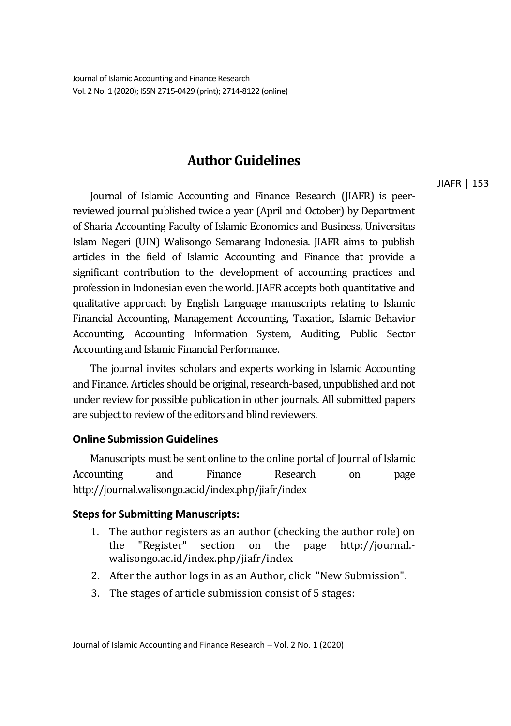# **Author Guidelines**

Journal of Islamic Accounting and Finance Research (JIAFR) is peerreviewed journal published twice a year (April and October) by Department of Sharia Accounting Faculty of Islamic Economics and Business, Universitas Islam Negeri (UIN) Walisongo Semarang Indonesia. JIAFR aims to publish articles in the field of Islamic Accounting and Finance that provide a significant contribution to the development of accounting practices and profession in Indonesian even the world. JIAFR accepts both quantitative and qualitative approach by English Language manuscripts relating to Islamic Financial Accounting, Management Accounting, Taxation, Islamic Behavior Accounting, Accounting Information System, Auditing, Public Sector Accounting and Islamic Financial Performance.

The journal invites scholars and experts working in Islamic Accounting and Finance. Articles should be original, research-based, unpublished and not under review for possible publication in other journals. All submitted papers are subject to review of the editors and blind reviewers.

# **Online Submission Guidelines**

Manuscripts must be sent online to the online portal of Journal of Islamic Accounting and Finance Research on page http://journal.walisongo.ac.id/index.php/jiafr/index

## **Steps for Submitting Manuscripts:**

- 1. The author registers as an author (checking the author role) on the "Register" section on the page http://journal. walisongo.ac.id/index.php/jiafr/index
- 2. After the author logs in as an Author, click "New Submission".
- 3. The stages of article submission consist of 5 stages:

Journal of Islamic Accounting and Finance Research – Vol. 2 No. 1 (2020)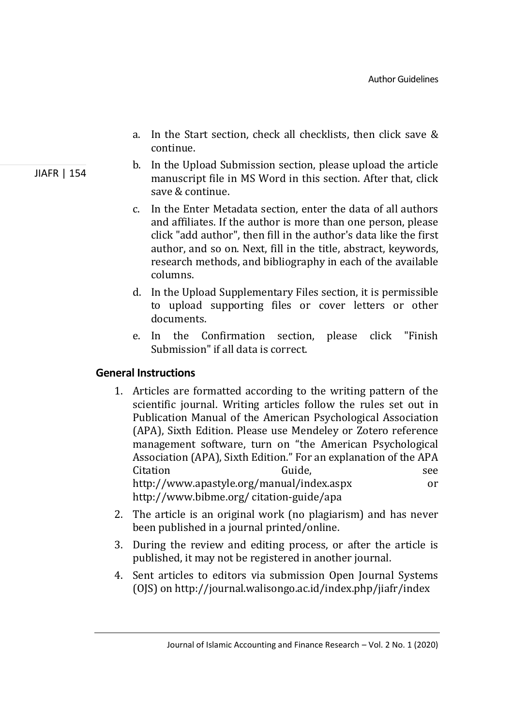- a. In the Start section, check all checklists, then click save & continue.
- b. In the Upload Submission section, please upload the article manuscript file in MS Word in this section. After that, click save & continue.
- c. In the Enter Metadata section, enter the data of all authors and affiliates. If the author is more than one person, please click "add author", then fill in the author's data like the first author, and so on. Next, fill in the title, abstract, keywords, research methods, and bibliography in each of the available columns.
- d. In the Upload Supplementary Files section, it is permissible to upload supporting files or cover letters or other documents.
- e. In the Confirmation section, please click "Finish Submission" if all data is correct.

# **General Instructions**

- 1. Articles are formatted according to the writing pattern of the scientific journal. Writing articles follow the rules set out in Publication Manual of the American Psychological Association (APA), Sixth Edition. Please use Mendeley or Zotero reference management software, turn on "the American Psychological Association (APA), Sixth Edition." For an explanation of the APA Citation Guide. Communication See http://www.apastyle.org/manual/index.aspx or http://www.bibme.org/ citation-guide/apa
- 2. The article is an original work (no plagiarism) and has never been published in a journal printed/online.
- 3. During the review and editing process, or after the article is published, it may not be registered in another journal.
- 4. Sent articles to editors via submission Open Journal Systems (OJS) on http://journal.walisongo.ac.id/index.php/jiafr/index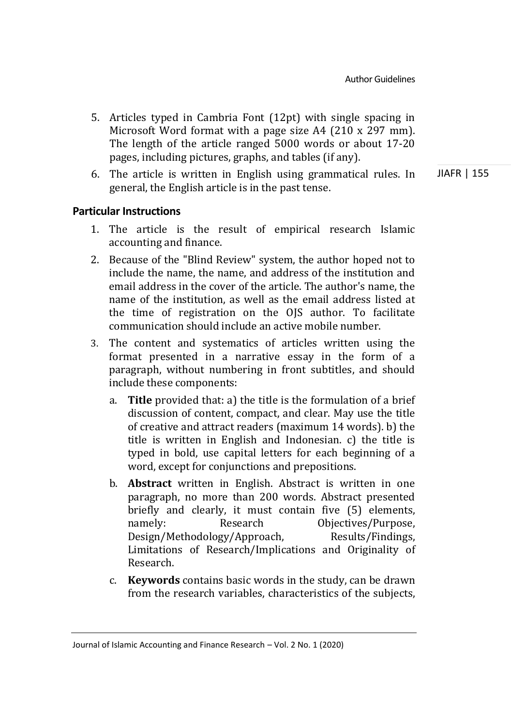- 5. Articles typed in Cambria Font (12pt) with single spacing in Microsoft Word format with a page size A4 (210 x 297 mm). The length of the article ranged 5000 words or about 17-20 pages, including pictures, graphs, and tables (if any).
- JIAFR | 155 6. The article is written in English using grammatical rules. In general, the English article is in the past tense.

# **Particular Instructions**

- 1. The article is the result of empirical research Islamic accounting and finance.
- 2. Because of the "Blind Review" system, the author hoped not to include the name, the name, and address of the institution and email address in the cover of the article. The author's name, the name of the institution, as well as the email address listed at the time of registration on the OJS author. To facilitate communication should include an active mobile number.
- 3. The content and systematics of articles written using the format presented in a narrative essay in the form of a paragraph, without numbering in front subtitles, and should include these components:
	- a. **Title** provided that: a) the title is the formulation of a brief discussion of content, compact, and clear. May use the title of creative and attract readers (maximum 14 words). b) the title is written in English and Indonesian. c) the title is typed in bold, use capital letters for each beginning of a word, except for conjunctions and prepositions.
	- b. **Abstract** written in English. Abstract is written in one paragraph, no more than 200 words. Abstract presented briefly and clearly, it must contain five (5) elements, namely: Research Objectives/Purpose, Design/Methodology/Approach, Results/Findings, Limitations of Research/Implications and Originality of Research.
	- c. **Keywords** contains basic words in the study, can be drawn from the research variables, characteristics of the subjects,

Journal of Islamic Accounting and Finance Research – Vol. 2 No. 1 (2020)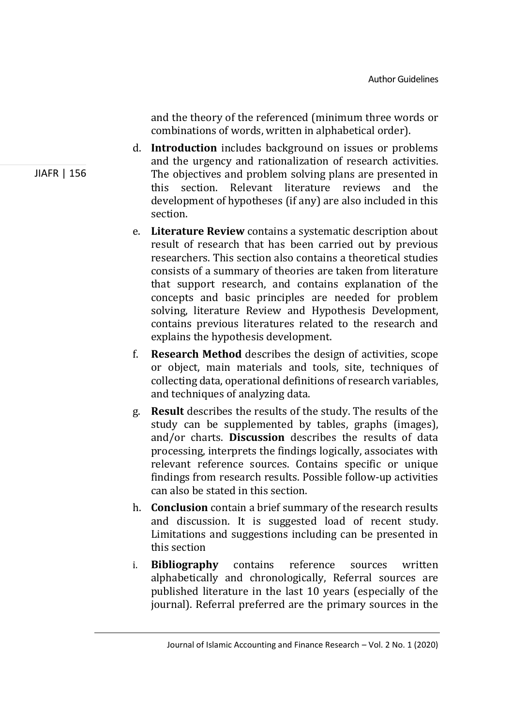and the theory of the referenced (minimum three words or combinations of words, written in alphabetical order).

- d. **Introduction** includes background on issues or problems and the urgency and rationalization of research activities. The objectives and problem solving plans are presented in this section. Relevant literature reviews and the development of hypotheses (if any) are also included in this section.
- e. **Literature Review** contains a systematic description about result of research that has been carried out by previous researchers. This section also contains a theoretical studies consists of a summary of theories are taken from literature that support research, and contains explanation of the concepts and basic principles are needed for problem solving, literature Review and Hypothesis Development, contains previous literatures related to the research and explains the hypothesis development.
- f. **Research Method** describes the design of activities, scope or object, main materials and tools, site, techniques of collecting data, operational definitions of research variables, and techniques of analyzing data.
- g. **Result** describes the results of the study. The results of the study can be supplemented by tables, graphs (images), and/or charts. **Discussion** describes the results of data processing, interprets the findings logically, associates with relevant reference sources. Contains specific or unique findings from research results. Possible follow-up activities can also be stated in this section.
- h. **Conclusion** contain a brief summary of the research results and discussion. It is suggested load of recent study. Limitations and suggestions including can be presented in this section
- i. **Bibliography** contains reference sources written alphabetically and chronologically, Referral sources are published literature in the last 10 years (especially of the journal). Referral preferred are the primary sources in the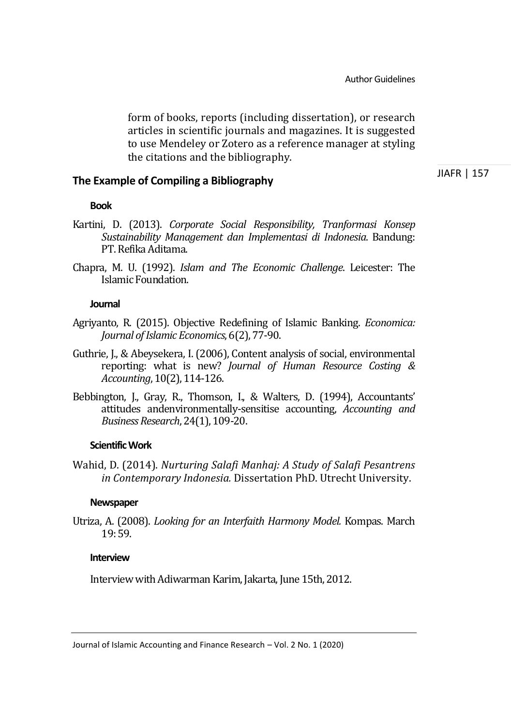form of books, reports (including dissertation), or research articles in scientific journals and magazines. It is suggested to use Mendeley or Zotero as a reference manager at styling the citations and the bibliography.

### **The Example of Compiling a Bibliography**

JIAFR | 157

#### **Book**

- Kartini, D. (2013). *Corporate Social Responsibility, Tranformasi Konsep Sustainability Management dan Implementasi di Indonesia*. Bandung: PT. Refika Aditama.
- Chapra, M. U. (1992). *Islam and The Economic Challenge*. Leicester: The Islamic Foundation.

#### **Journal**

- Agriyanto, R. (2015). Objective Redefining of Islamic Banking. *Economica: Journal of Islamic Economics*, 6(2), 77-90.
- Guthrie, J., & Abeysekera, I. (2006), Content analysis of social, environmental reporting: what is new? *Journal of Human Resource Costing & Accounting*, 10(2), 114-126.
- Bebbington, J., Gray, R., Thomson, I., & Walters, D. (1994), Accountants' attitudes andenvironmentally-sensitise accounting, *Accounting and Business Research*, 24(1), 109-20.

#### **Scientific Work**

Wahid, D. (2014). *Nurturing Salafi Manhaj: A Study of Salafi Pesantrens in Contemporary Indonesia.* Dissertation PhD. Utrecht University.

#### **Newspaper**

Utriza, A. (2008). *Looking for an Interfaith Harmony Model.* Kompas. March 19: 59.

#### **Interview**

Interview with Adiwarman Karim, Jakarta, June 15th, 2012.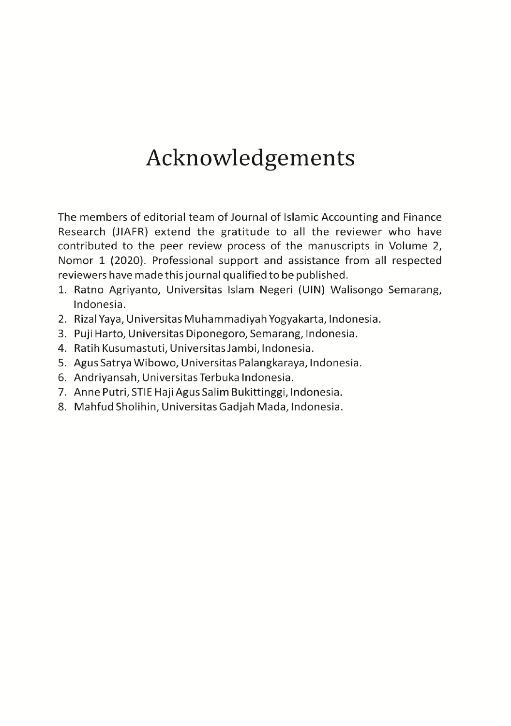# Acknowledgements

The members of editorial team of Journal of Islamic Accounting and Finance Research (JIAFR) extend the gratitude to all the reviewer who have contributed to the peer review process of the manuscripts in Volume 2, Nomor 1 (2020). Professional support and assistance from all respected reviewers have made this journal qualified to be published.

- 1. Ratno Agrivanto, Universitas Islam Negeri (UIN) Walisongo Semarang, Indonesia.
- 2. Rizal Yaya, Universitas Muhammadiyah Yogyakarta, Indonesia.
- 3. Puji Harto, Universitas Diponegoro, Semarang, Indonesia.
- 4. Ratih Kusumastuti, Universitas Jambi, Indonesia.
- 5. Agus Satrya Wibowo, Universitas Palangkaraya, Indonesia.
- 6. Andriyansah, Universitas Terbuka Indonesia.
- 7. Anne Putri, STIE Haji Agus Salim Bukittinggi, Indonesia.
- 8. Mahfud Sholihin, Universitas Gadjah Mada, Indonesia.